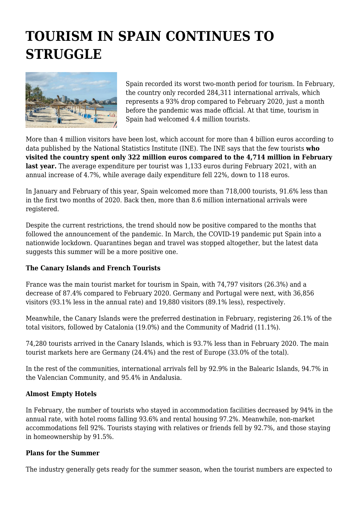## **TOURISM IN SPAIN CONTINUES TO STRUGGLE**



Spain recorded its worst two-month period for tourism. In February, the country only recorded 284,311 international arrivals, which represents a 93% drop compared to February 2020, just a month before the pandemic was made official. At that time, tourism in Spain had welcomed 4.4 million tourists.

More than 4 million visitors have been lost, which account for more than 4 billion euros according to data published by the National Statistics Institute (INE). The INE says that the few tourists **who visited the country spent only 322 million euros compared to the 4,714 million in February** last year. The average expenditure per tourist was 1,133 euros during February 2021, with an annual increase of 4.7%, while average daily expenditure fell 22%, down to 118 euros.

In January and February of this year, Spain welcomed more than 718,000 tourists, 91.6% less than in the first two months of 2020. Back then, more than 8.6 million international arrivals were registered.

Despite the current restrictions, the trend should now be positive compared to the months that followed the announcement of the pandemic. In March, the COVID-19 pandemic put Spain into a nationwide lockdown. Quarantines began and travel was stopped altogether, but the latest data suggests this summer will be a more positive one.

## **The Canary Islands and French Tourists**

France was the main tourist market for tourism in Spain, with 74,797 visitors (26.3%) and a decrease of 87.4% compared to February 2020. Germany and Portugal were next, with 36,856 visitors (93.1% less in the annual rate) and 19,880 visitors (89.1% less), respectively.

Meanwhile, the Canary Islands were the preferred destination in February, registering 26.1% of the total visitors, followed by Catalonia (19.0%) and the Community of Madrid (11.1%).

74,280 tourists arrived in the Canary Islands, which is 93.7% less than in February 2020. The main tourist markets here are Germany (24.4%) and the rest of Europe (33.0% of the total).

In the rest of the communities, international arrivals fell by 92.9% in the Balearic Islands, 94.7% in the Valencian Community, and 95.4% in Andalusia.

## **Almost Empty Hotels**

In February, the number of tourists who stayed in accommodation facilities decreased by 94% in the annual rate, with hotel rooms falling 93.6% and rental housing 97.2%. Meanwhile, non-market accommodations fell 92%. Tourists staying with relatives or friends fell by 92.7%, and those staying in homeownership by 91.5%.

## **Plans for the Summer**

The industry generally gets ready for the summer season, when the tourist numbers are expected to